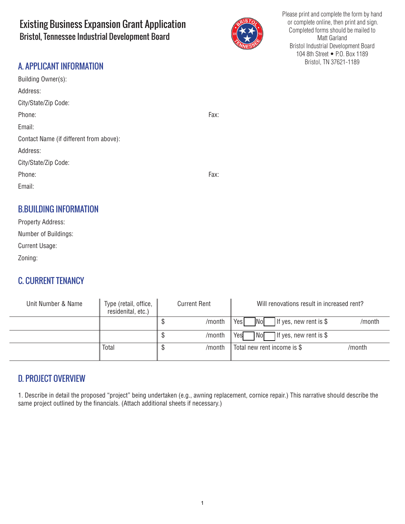# Existing Business Expansion Grant Application Bristol, Tennessee Industrial Development Board



Please print and complete the form by hand or complete online, then print and sign. Completed forms should be mailed to Matt Garland Bristol Industrial Development Board 104 8th Street • P.O. Box 1189 Bristol, TN 37621-1189

## A. APPLICANT INFORMATION

| Building Owner(s):                      |      |
|-----------------------------------------|------|
| Address:                                |      |
| City/State/Zip Code:                    |      |
| Phone:                                  | Fax: |
| Email:                                  |      |
| Contact Name (if different from above): |      |
| Address:                                |      |
| City/State/Zip Code:                    |      |
| Phone:                                  | Fax: |
| Email:                                  |      |
|                                         |      |
| <b>D DUILDING INFORMATION</b>           |      |

## B.BUILDING INFORMATION

| Property Address:     |  |  |
|-----------------------|--|--|
| Number of Buildings:  |  |  |
| <b>Current Usage:</b> |  |  |
| Zoning:               |  |  |

## C. CURRENT TENANCY

| Unit Number & Name | Type (retail, office,<br>residenital, etc.) | <b>Current Rent</b> |        | Will renovations result in increased rent?              |        |
|--------------------|---------------------------------------------|---------------------|--------|---------------------------------------------------------|--------|
|                    |                                             |                     | /month | Yes<br><b>No</b><br>If yes, new rent is $\$$            | /month |
|                    |                                             |                     | /month | $\bigcap$ If yes, new rent is \$<br>Yes<br>∏No <b>Γ</b> |        |
|                    | <b>Total</b>                                |                     | /month | Total new rent income is \$                             | /month |

## D. PROJECT OVERVIEW

1. Describe in detail the proposed "project" being undertaken (e.g., awning replacement, cornice repair.) This narrative should describe the same project outlined by the financials. (Attach additional sheets if necessary.)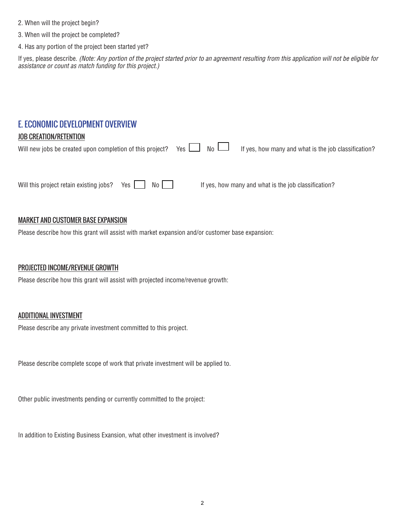- 2. When will the project begin?
- 3. When will the project be completed?
- 4. Has any portion of the project been started yet?

If yes, please describe. *(Note: Any portion of the project started prior to an agreement resulting from this application will not be eligible for assistance or count as match funding for this project.)*

## E. ECONOMIC DEVELOPMENT OVERVIEW

#### JOB CREATION/RETENTION

| Will new jobs be created upon completion of this project? Yes $\Box$ No $\Box$ |  | If yes, how many and what is the job classification? |
|--------------------------------------------------------------------------------|--|------------------------------------------------------|
|                                                                                |  |                                                      |
| Will this project retain existing jobs? Yes<br>No I                            |  | If yes, how many and what is the job classification? |

#### MARKET AND CUSTOMER BASE EXPANSION

Please describe how this grant will assist with market expansion and/or customer base expansion:

#### PROJECTED INCOME/REVENUE GROWTH

Please describe how this grant will assist with projected income/revenue growth:

#### ADDITIONAL INVESTMENT

Please describe any private investment committed to this project.

Please describe complete scope of work that private investment will be applied to.

Other public investments pending or currently committed to the project:

In addition to Existing Business Exansion, what other investment is involved?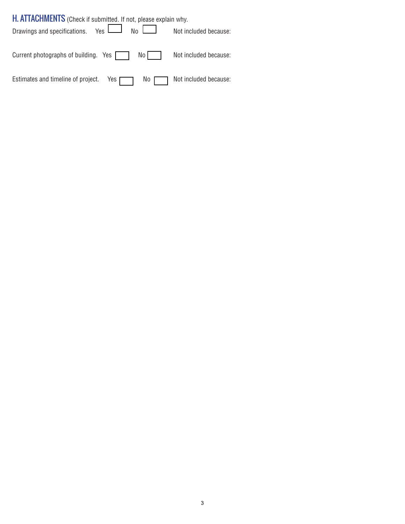| H. ATTACHMENTS (Check if submitted. If not, please explain why.                 |                       |
|---------------------------------------------------------------------------------|-----------------------|
| Drawings and specifications. Yes $\boxed{\phantom{a}}$ No $\boxed{\phantom{a}}$ | Not included because: |
| Current photographs of building. Yes<br>$\mathsf{No}$                           | Not included because: |
| Estimates and timeline of project. Yes $\Box$<br>No                             | Not included because: |